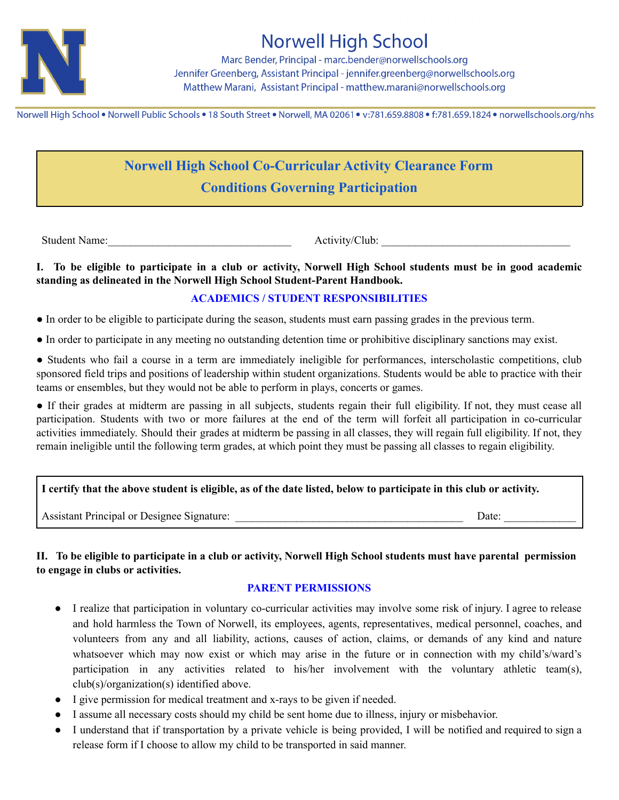

# **Norwell High School**

Marc Bender, Principal - marc.bender@norwellschools.org Jennifer Greenberg, Assistant Principal - jennifer.greenberg@norwellschools.org Matthew Marani, Assistant Principal - matthew.marani@norwellschools.org

Norwell High School . Norwell Public Schools . 18 South Street . Norwell, MA 02061 . v:781.659.8808 . f:781.659.1824 . norwellschools.org/nhs

# **Norwell High School Co-Curricular Activity Clearance Form Conditions Governing Participation**

Student Name: <br>Activity/Club:

I. To be eligible to participate in a club or activity, Norwell High School students must be in good academic **standing as delineated in the Norwell High School Student-Parent Handbook.**

## **ACADEMICS / STUDENT RESPONSIBILITIES**

● In order to be eligible to participate during the season, students must earn passing grades in the previous term.

● In order to participate in any meeting no outstanding detention time or prohibitive disciplinary sanctions may exist.

● Students who fail a course in a term are immediately ineligible for performances, interscholastic competitions, club sponsored field trips and positions of leadership within student organizations. Students would be able to practice with their teams or ensembles, but they would not be able to perform in plays, concerts or games.

● If their grades at midterm are passing in all subjects, students regain their full eligibility. If not, they must cease all participation. Students with two or more failures at the end of the term will forfeit all participation in co-curricular activities immediately. Should their grades at midterm be passing in all classes, they will regain full eligibility. If not, they remain ineligible until the following term grades, at which point they must be passing all classes to regain eligibility.

## I certify that the above student is eligible, as of the date listed, below to participate in this club or activity.

Assistant Principal or Designee Signature: \_\_\_\_\_\_\_\_\_\_\_\_\_\_\_\_\_\_\_\_\_\_\_\_\_\_\_\_\_\_\_\_\_\_\_\_\_\_\_\_\_ Date: \_\_\_\_\_\_\_\_\_\_\_\_\_

## II. To be eligible to participate in a club or activity, Norwell High School students must have parental permission **to engage in clubs or activities.**

#### **PARENT PERMISSIONS**

- I realize that participation in voluntary co-curricular activities may involve some risk of injury. I agree to release and hold harmless the Town of Norwell, its employees, agents, representatives, medical personnel, coaches, and volunteers from any and all liability, actions, causes of action, claims, or demands of any kind and nature whatsoever which may now exist or which may arise in the future or in connection with my child's/ward's participation in any activities related to his/her involvement with the voluntary athletic team(s), club(s)/organization(s) identified above.
- I give permission for medical treatment and x-rays to be given if needed.
- I assume all necessary costs should my child be sent home due to illness, injury or misbehavior.
- I understand that if transportation by a private vehicle is being provided, I will be notified and required to sign a release form if I choose to allow my child to be transported in said manner.